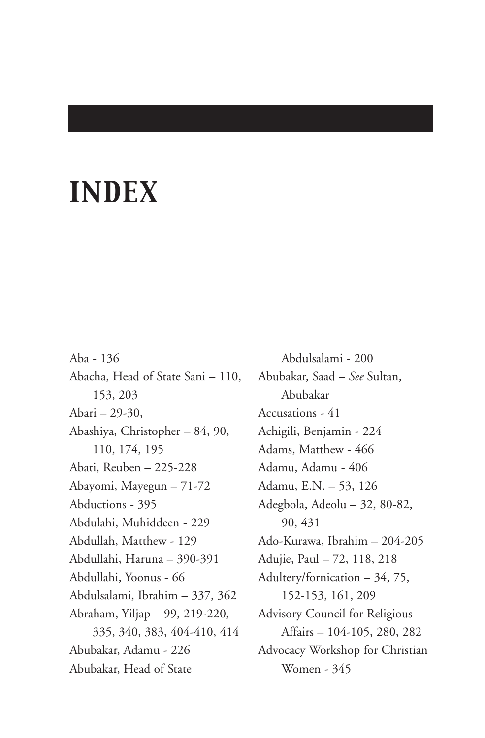# *INDEX*

Aba - 136 Abacha, Head of State Sani – 110, 153, 203 Abari – 29-30, Abashiya, Christopher – 84, 90, 110, 174, 195 Abati, Reuben – 225-228 Abayomi, Mayegun – 71-72 Abductions - 395 Abdulahi, Muhiddeen - 229 Abdullah, Matthew - 129 Abdullahi, Haruna – 390-391 Abdullahi, Yoonus - 66 Abdulsalami, Ibrahim – 337, 362 Abraham, Yiljap – 99, 219-220, 335, 340, 383, 404-410, 414 Abubakar, Adamu - 226 Abubakar, Head of State

Abdulsalami - 200 Abubakar, Saad – *See* Sultan, Abubakar Accusations - 41 Achigili, Benjamin - 224 Adams, Matthew - 466 Adamu, Adamu - 406 Adamu, E.N. – 53, 126 Adegbola, Adeolu – 32, 80-82, 90, 431 Ado-Kurawa, Ibrahim – 204-205 Adujie, Paul – 72, 118, 218 Adultery/fornication – 34, 75, 152-153, 161, 209 Advisory Council for Religious Affairs – 104-105, 280, 282 Advocacy Workshop for Christian Women - 345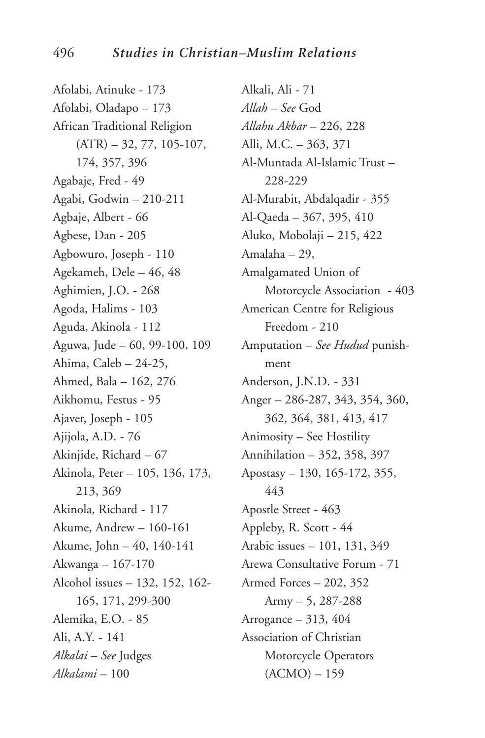Afolabi, Atinuke - 173 Afolabi, Oladapo – 173 African Traditional Religion  $(ATR) - 32, 77, 105-107,$ 174, 357, 396 Agabaje, Fred - 49 Agabi, Godwin – 210-211 Agbaje, Albert - 66 Agbese, Dan - 205 Agbowuro, Joseph - 110 Agekameh, Dele – 46, 48 Aghimien, J.O. - 268 Agoda, Halims - 103 Aguda, Akinola - 112 Aguwa, Jude – 60, 99-100, 109 Ahima, Caleb – 24-25, Ahmed, Bala – 162, 276 Aikhomu, Festus - 95 Ajaver, Joseph - 105 Ajijola, A.D. - 76 Akinjide, Richard – 67 Akinola, Peter – 105, 136, 173, 213, 369 Akinola, Richard - 117 Akume, Andrew – 160-161 Akume, John – 40, 140-141 Akwanga – 167-170 Alcohol issues – 132, 152, 162- 165, 171, 299-300 Alemika, E.O. - 85 Ali, A.Y. - 141 *Alkalai* – *See* Judges *Alkalami* – 100

Alkali, Ali - 71 *Allah* – *See* God *Allahu Akbar* – 226, 228 Alli, M.C. – 363, 371 Al-Muntada Al-Islamic Trust – 228-229 Al-Murabit, Abdalqadir - 355 Al-Qaeda – 367, 395, 410 Aluko, Mobolaji – 215, 422 Amalaha – 29, Amalgamated Union of Motorcycle Association - 403 American Centre for Religious Freedom - 210 Amputation – *See Hudud* punishment Anderson, J.N.D. - 331 Anger – 286-287, 343, 354, 360, 362, 364, 381, 413, 417 Animosity – See Hostility Annihilation – 352, 358, 397 Apostasy – 130, 165-172, 355, 443 Apostle Street - 463 Appleby, R. Scott - 44 Arabic issues – 101, 131, 349 Arewa Consultative Forum - 71 Armed Forces – 202, 352 Army – 5, 287-288 Arrogance – 313, 404 Association of Christian Motorcycle Operators (ACMO) – 159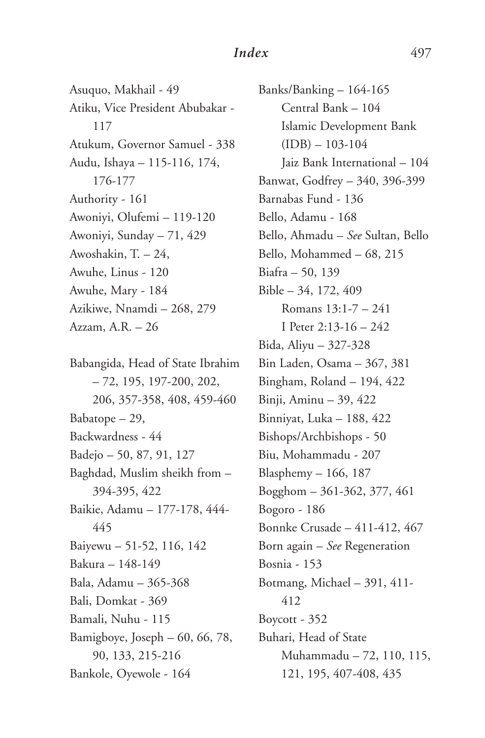Asuquo, Makhail - 49 Atiku, Vice President Abubakar - 117 Atukum, Governor Samuel - 338 Audu, Ishaya – 115-116, 174, 176-177 Authority - 161 Awoniyi, Olufemi – 119-120 Awoniyi, Sunday – 71, 429 Awoshakin, T. – 24, Awuhe, Linus - 120 Awuhe, Mary - 184 Azikiwe, Nnamdi – 268, 279 Azzam, A.R. – 26

Babangida, Head of State Ibrahim – 72, 195, 197-200, 202, 206, 357-358, 408, 459-460 Babatope – 29, Backwardness - 44 Badejo – 50, 87, 91, 127 Baghdad, Muslim sheikh from – 394-395, 422 Baikie, Adamu – 177-178, 444- 445 Baiyewu – 51-52, 116, 142 Bakura – 148-149 Bala, Adamu – 365-368 Bali, Domkat - 369 Bamali, Nuhu - 115 Bamigboye, Joseph – 60, 66, 78, 90, 133, 215-216 Bankole, Oyewole - 164

Banks/Banking – 164-165 Central Bank – 104 Islamic Development Bank  $(IDB) - 103-104$ Jaiz Bank International – 104 Banwat, Godfrey – 340, 396-399 Barnabas Fund - 136 Bello, Adamu - 168 Bello, Ahmadu – *See* Sultan, Bello Bello, Mohammed – 68, 215 Biafra – 50, 139 Bible – 34, 172, 409 Romans 13:1-7 – 241 I Peter 2:13-16 – 242 Bida, Aliyu – 327-328 Bin Laden, Osama – 367, 381 Bingham, Roland – 194, 422 Binji, Aminu – 39, 422 Binniyat, Luka – 188, 422 Bishops/Archbishops - 50 Biu, Mohammadu - 207 Blasphemy – 166, 187 Bogghom – 361-362, 377, 461 Bogoro - 186 Bonnke Crusade – 411-412, 467 Born again – *See* Regeneration Bosnia - 153 Botmang, Michael – 391, 411- 412 Boycott - 352 Buhari, Head of State Muhammadu – 72, 110, 115, 121, 195, 407-408, 435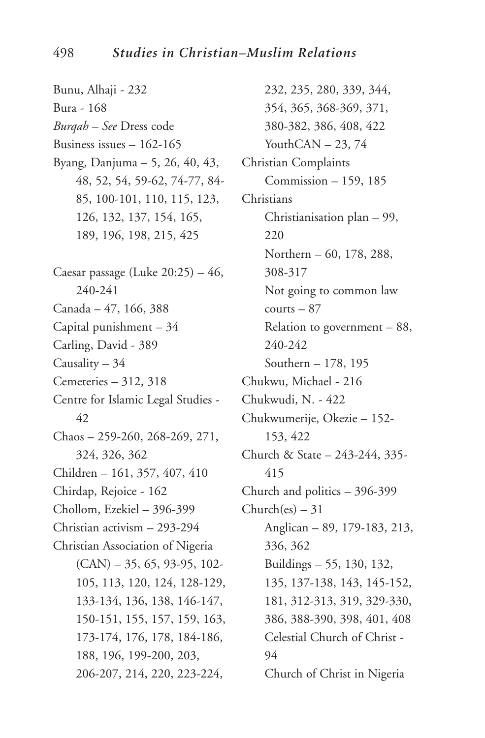Bunu, Alhaji - 232 Bura - 168 *Burqah* – *See* Dress code Business issues – 162-165 Byang, Danjuma – 5, 26, 40, 43, 48, 52, 54, 59-62, 74-77, 84- 85, 100-101, 110, 115, 123, 126, 132, 137, 154, 165, 189, 196, 198, 215, 425 Caesar passage (Luke  $20:25$ ) – 46, 240-241 Canada – 47, 166, 388 Capital punishment – 34 Carling, David - 389 Causality – 34 Cemeteries – 312, 318 Centre for Islamic Legal Studies - 42 Chaos – 259-260, 268-269, 271, 324, 326, 362 Children – 161, 357, 407, 410 Chirdap, Rejoice - 162 Chollom, Ezekiel – 396-399 Christian activism – 293-294 Christian Association of Nigeria (CAN) – 35, 65, 93-95, 102- 105, 113, 120, 124, 128-129, 133-134, 136, 138, 146-147, 150-151, 155, 157, 159, 163, 173-174, 176, 178, 184-186, 188, 196, 199-200, 203, 206-207, 214, 220, 223-224,

232, 235, 280, 339, 344, 354, 365, 368-369, 371, 380-382, 386, 408, 422 YouthCAN  $-23, 74$ Christian Complaints Commission – 159, 185 **Christians** Christianisation plan – 99, 220 Northern – 60, 178, 288, 308-317 Not going to common law  $counts - 87$ Relation to government – 88, 240-242 Southern – 178, 195 Chukwu, Michael - 216 Chukwudi, N. - 422 Chukwumerije, Okezie – 152- 153, 422 Church & State – 243-244, 335- 415 Church and politics – 396-399  $Church(es) - 31$ Anglican – 89, 179-183, 213, 336, 362 Buildings – 55, 130, 132, 135, 137-138, 143, 145-152, 181, 312-313, 319, 329-330, 386, 388-390, 398, 401, 408 Celestial Church of Christ - 94 Church of Christ in Nigeria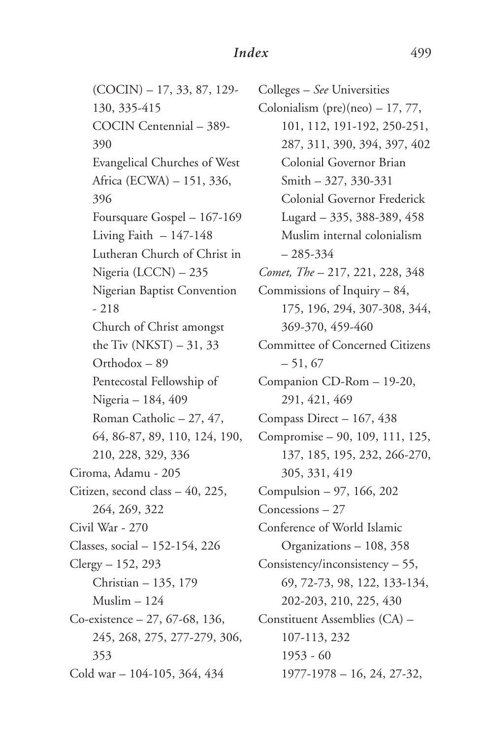(COCIN) – 17, 33, 87, 129- 130, 335-415 COCIN Centennial – 389- 390 Evangelical Churches of West Africa (ECWA) – 151, 336, 396 Foursquare Gospel – 167-169 Living Faith  $-147-148$ Lutheran Church of Christ in Nigeria (LCCN) – 235 Nigerian Baptist Convention - 218 Church of Christ amongst the Tiv  $(NKST) - 31, 33$ Orthodox – 89 Pentecostal Fellowship of Nigeria – 184, 409 Roman Catholic – 27, 47, 64, 86-87, 89, 110, 124, 190, 210, 228, 329, 336 Ciroma, Adamu - 205 Citizen, second class – 40, 225, 264, 269, 322 Civil War - 270 Classes, social – 152-154, 226 Clergy – 152, 293 Christian – 135, 179 Muslim – 124 Co-existence – 27, 67-68, 136, 245, 268, 275, 277-279, 306, 353 Cold war – 104-105, 364, 434

Colleges – *See* Universities Colonialism (pre)(neo)  $-17, 77$ , 101, 112, 191-192, 250-251, 287, 311, 390, 394, 397, 402 Colonial Governor Brian Smith – 327, 330-331 Colonial Governor Frederick Lugard – 335, 388-389, 458 Muslim internal colonialism – 285-334 *Comet, The* – 217, 221, 228, 348 Commissions of Inquiry – 84, 175, 196, 294, 307-308, 344, 369-370, 459-460 Committee of Concerned Citizens  $-51, 67$ Companion CD-Rom – 19-20, 291, 421, 469 Compass Direct – 167, 438 Compromise – 90, 109, 111, 125, 137, 185, 195, 232, 266-270, 305, 331, 419 Compulsion – 97, 166, 202 Concessions – 27 Conference of World Islamic Organizations – 108, 358 Consistency/inconsistency – 55, 69, 72-73, 98, 122, 133-134, 202-203, 210, 225, 430 Constituent Assemblies (CA) – 107-113, 232 1953 - 60 1977-1978 – 16, 24, 27-32,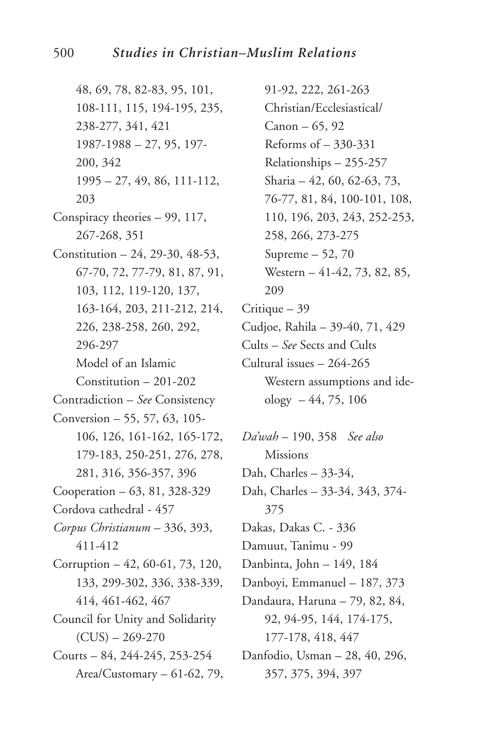48, 69, 78, 82-83, 95, 101, 108-111, 115, 194-195, 235, 238-277, 341, 421  $1987 - 1988 - 27, 95, 197$ 200, 342  $1995 - 27, 49, 86, 111 - 112,$ 203 Conspiracy theories - 99, 117, 267-268, 351 Constitution - 24, 29-30, 48-53, 67-70, 72, 77-79, 81, 87, 91, 103, 112, 119-120, 137, 163-164, 203, 211-212, 214, 226, 238-258, 260, 292, 296-297 Model of an Islamic  $Construction - 201 - 202$ Contradiction - See Consistency Conversion - 55, 57, 63, 105-106, 126, 161-162, 165-172, 179-183, 250-251, 276, 278, 281, 316, 356-357, 396 Cooperation - 63, 81, 328-329 Cordova cathedral - 457 Corpus Christianum - 336, 393, 411-412 Corruption - 42, 60-61, 73, 120, 133, 299-302, 336, 338-339, 414, 461-462, 467 Council for Unity and Solidarity  $(CUS) - 269-270$ Courts  $-84, 244-245, 253-254$ Area/Customary  $-61-62$ , 79,

91-92, 222, 261-263 Christian/Ecclesiastical/ Canon  $-65, 92$ Reforms of  $-330-331$ Relationships - 255-257 Sharia - 42, 60, 62-63, 73, 76-77, 81, 84, 100-101, 108, 110, 196, 203, 243, 252-253, 258, 266, 273-275 Supreme  $-52, 70$ Western - 41-42, 73, 82, 85, 209 Critique  $-39$ Cudioe, Rahila - 39-40, 71, 429 Cults - See Sects and Cults Cultural issues - 264-265 Western assumptions and ideology  $-44, 75, 106$ Da'wah - 190, 358 See also **Missions** Dah, Charles - 33-34, Dah, Charles - 33-34, 343, 374-375

Dakas, Dakas C. - 336

Damuut, Tanimu - 99

Danbinta, John - 149, 184

Danboyi, Emmanuel - 187, 373

- Dandaura, Haruna 79, 82, 84, 92, 94-95, 144, 174-175, 177-178, 418, 447
- Danfodio, Usman 28, 40, 296, 357, 375, 394, 397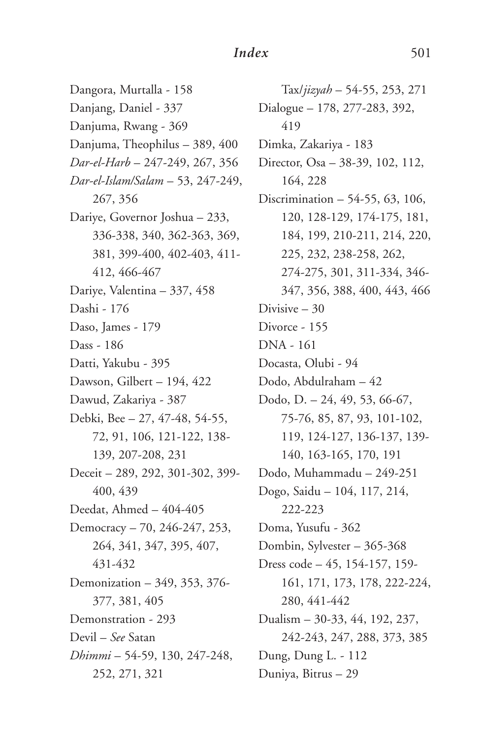Dangora, Murtalla - 158 Danjang, Daniel - 337 Danjuma, Rwang - 369 Danjuma, Theophilus – 389, 400 *Dar-el-Harb* – 247-249, 267, 356 *Dar-el-Islam/Salam* – 53, 247-249, 267, 356 Dariye, Governor Joshua – 233, 336-338, 340, 362-363, 369, 381, 399-400, 402-403, 411- 412, 466-467 Dariye, Valentina – 337, 458 Dashi - 176 Daso, James - 179 Dass - 186 Datti, Yakubu - 395 Dawson, Gilbert – 194, 422 Dawud, Zakariya - 387 Debki, Bee – 27, 47-48, 54-55, 72, 91, 106, 121-122, 138- 139, 207-208, 231 Deceit – 289, 292, 301-302, 399- 400, 439 Deedat, Ahmed – 404-405 Democracy – 70, 246-247, 253, 264, 341, 347, 395, 407, 431-432 Demonization – 349, 353, 376- 377, 381, 405 Demonstration - 293 Devil – *See* Satan *Dhimmi* – 54-59, 130, 247-248, 252, 271, 321

Tax/*jizyah* – 54-55, 253, 271 Dialogue – 178, 277-283, 392, 419 Dimka, Zakariya - 183 Director, Osa – 38-39, 102, 112, 164, 228 Discrimination – 54-55, 63, 106, 120, 128-129, 174-175, 181, 184, 199, 210-211, 214, 220, 225, 232, 238-258, 262, 274-275, 301, 311-334, 346- 347, 356, 388, 400, 443, 466 Divisive – 30 Divorce - 155 DNA - 161 Docasta, Olubi - 94 Dodo, Abdulraham – 42 Dodo, D. – 24, 49, 53, 66-67, 75-76, 85, 87, 93, 101-102, 119, 124-127, 136-137, 139- 140, 163-165, 170, 191 Dodo, Muhammadu – 249-251 Dogo, Saidu – 104, 117, 214, 222-223 Doma, Yusufu - 362 Dombin, Sylvester – 365-368 Dress code – 45, 154-157, 159- 161, 171, 173, 178, 222-224, 280, 441-442 Dualism – 30-33, 44, 192, 237, 242-243, 247, 288, 373, 385 Dung, Dung L. - 112 Duniya, Bitrus – 29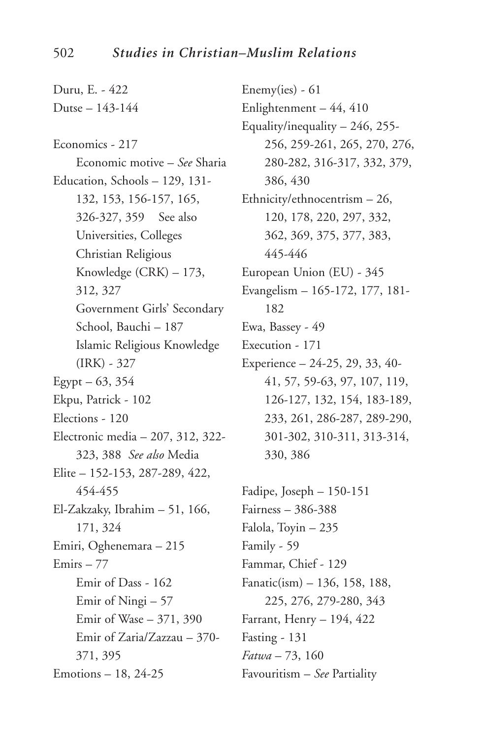Duru, E. - 422 Dutse – 143-144 Economics - 217 Economic motive – *See* Sharia Education, Schools – 129, 131- 132, 153, 156-157, 165, 326-327, 359 See also Universities, Colleges Christian Religious Knowledge (CRK) – 173, 312, 327 Government Girls' Secondary School, Bauchi – 187 Islamic Religious Knowledge (IRK) - 327 Egypt –  $63, 354$ Ekpu, Patrick - 102 Elections - 120 Electronic media – 207, 312, 322- 323, 388 *See also* Media Elite – 152-153, 287-289, 422, 454-455 El-Zakzaky, Ibrahim – 51, 166, 171, 324 Emiri, Oghenemara – 215 Emirs – 77 Emir of Dass - 162 Emir of Ningi – 57 Emir of Wase – 371, 390 Emir of Zaria/Zazzau – 370- 371, 395 Emotions – 18, 24-25

Enemy(ies) - 61 Enlightenment – 44, 410 Equality/inequality – 246, 255- 256, 259-261, 265, 270, 276, 280-282, 316-317, 332, 379, 386, 430 Ethnicity/ethnocentrism – 26, 120, 178, 220, 297, 332, 362, 369, 375, 377, 383, 445-446 European Union (EU) - 345 Evangelism – 165-172, 177, 181- 182 Ewa, Bassey - 49 Execution - 171 Experience – 24-25, 29, 33, 40- 41, 57, 59-63, 97, 107, 119, 126-127, 132, 154, 183-189, 233, 261, 286-287, 289-290, 301-302, 310-311, 313-314, 330, 386 Fadipe, Joseph – 150-151

Fairness – 386-388 Falola, Toyin – 235 Family - 59 Fammar, Chief - 129 Fanatic(ism) – 136, 158, 188, 225, 276, 279-280, 343 Farrant, Henry – 194, 422 Fasting - 131 *Fatwa* – 73, 160 Favouritism – *See* Partiality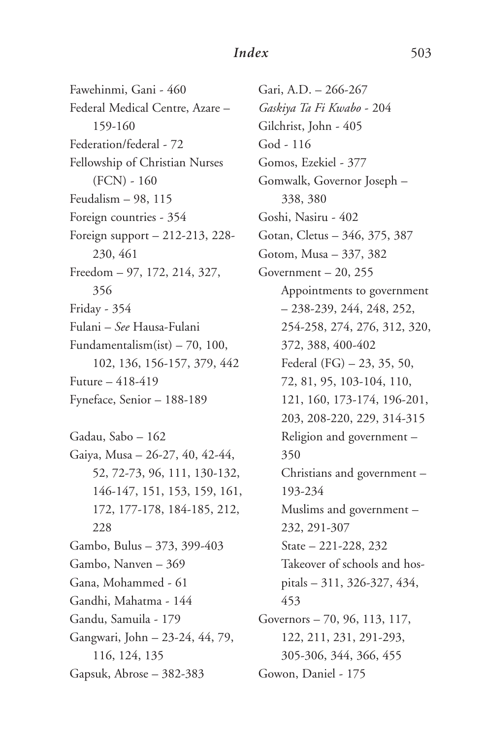Fawehinmi, Gani - 460 Federal Medical Centre, Azare – 159-160 Federation/federal - 72 Fellowship of Christian Nurses  $(FCN) - 160$ Feudalism – 98, 115 Foreign countries - 354 Foreign support – 212-213, 228- 230, 461 Freedom – 97, 172, 214, 327, 356 Friday - 354 Fulani – *See* Hausa-Fulani Fundamentalism(ist) – 70, 100, 102, 136, 156-157, 379, 442 Future – 418-419 Fyneface, Senior – 188-189 Gadau, Sabo – 162 Gaiya, Musa – 26-27, 40, 42-44, 52, 72-73, 96, 111, 130-132, 146-147, 151, 153, 159, 161, 172, 177-178, 184-185, 212,

228 Gambo, Bulus – 373, 399-403 Gambo, Nanven – 369 Gana, Mohammed - 61 Gandhi, Mahatma - 144 Gandu, Samuila - 179 Gangwari, John – 23-24, 44, 79, 116, 124, 135 Gapsuk, Abrose – 382-383

Gari, A.D. – 266-267 *Gaskiya Ta Fi Kwabo* - 204 Gilchrist, John - 405 God - 116 Gomos, Ezekiel - 377 Gomwalk, Governor Joseph – 338, 380 Goshi, Nasiru - 402 Gotan, Cletus – 346, 375, 387 Gotom, Musa – 337, 382 Government  $-20$ , 255 Appointments to government – 238-239, 244, 248, 252, 254-258, 274, 276, 312, 320, 372, 388, 400-402 Federal (FG) – 23, 35, 50, 72, 81, 95, 103-104, 110, 121, 160, 173-174, 196-201, 203, 208-220, 229, 314-315 Religion and government – 350 Christians and government – 193-234 Muslims and government – 232, 291-307 State – 221-228, 232 Takeover of schools and hospitals – 311, 326-327, 434, 453 Governors – 70, 96, 113, 117, 122, 211, 231, 291-293, 305-306, 344, 366, 455 Gowon, Daniel - 175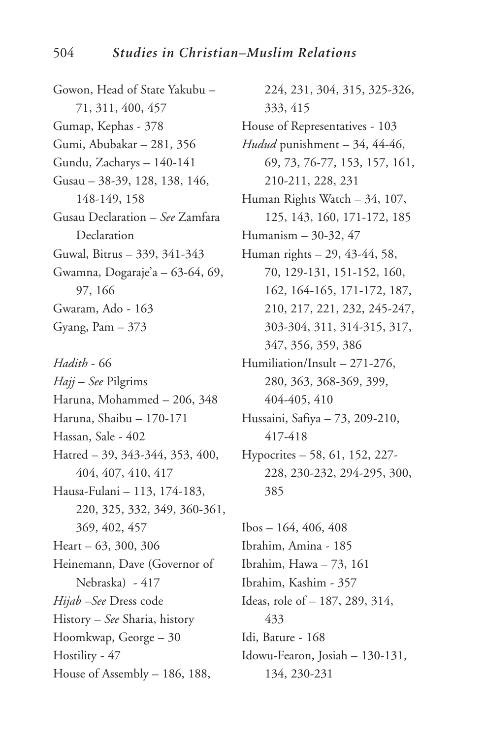Gowon, Head of State Yakubu – 71, 311, 400, 457 Gumap, Kephas - 378 Gumi, Abubakar – 281, 356 Gundu, Zacharys – 140-141 Gusau – 38-39, 128, 138, 146, 148-149, 158 Gusau Declaration – *See* Zamfara Declaration Guwal, Bitrus – 339, 341-343 Gwamna, Dogaraje'a – 63-64, 69, 97, 166 Gwaram, Ado - 163 Gyang, Pam – 373

*Hadith* - 66 *Hajj* – *See* Pilgrims Haruna, Mohammed – 206, 348 Haruna, Shaibu – 170-171 Hassan, Sale - 402 Hatred – 39, 343-344, 353, 400, 404, 407, 410, 417 Hausa-Fulani – 113, 174-183, 220, 325, 332, 349, 360-361, 369, 402, 457 Heart – 63, 300, 306 Heinemann, Dave (Governor of Nebraska) - 417 *Hijab* –*See* Dress code History – *See* Sharia, history Hoomkwap, George – 30 Hostility - 47 House of Assembly – 186, 188,

224, 231, 304, 315, 325-326, 333, 415 House of Representatives - 103 *Hudud* punishment – 34, 44-46, 69, 73, 76-77, 153, 157, 161, 210-211, 228, 231 Human Rights Watch – 34, 107, 125, 143, 160, 171-172, 185 Humanism – 30-32, 47 Human rights – 29, 43-44, 58, 70, 129-131, 151-152, 160, 162, 164-165, 171-172, 187, 210, 217, 221, 232, 245-247, 303-304, 311, 314-315, 317, 347, 356, 359, 386 Humiliation/Insult – 271-276, 280, 363, 368-369, 399, 404-405, 410 Hussaini, Safiya – 73, 209-210, 417-418 Hypocrites – 58, 61, 152, 227- 228, 230-232, 294-295, 300, 385 Ibos – 164, 406, 408

Ibrahim, Amina - 185 Ibrahim, Hawa – 73, 161 Ibrahim, Kashim - 357 Ideas, role of – 187, 289, 314, 433 Idi, Bature - 168 Idowu-Fearon, Josiah – 130-131, 134, 230-231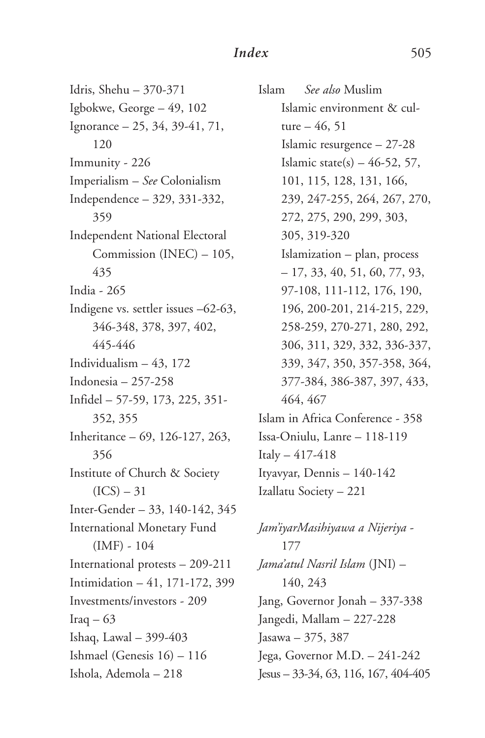Idris, Shehu – 370-371 Igbokwe, George – 49, 102 Ignorance – 25, 34, 39-41, 71, 120 Immunity - 226 Imperialism – *See* Colonialism Independence – 329, 331-332, 359 Independent National Electoral Commission (INEC) – 105, 435 India - 265 Indigene vs. settler issues –62-63, 346-348, 378, 397, 402, 445-446 Individualism – 43, 172 Indonesia – 257-258 Infidel – 57-59, 173, 225, 351- 352, 355 Inheritance – 69, 126-127, 263, 356 Institute of Church & Society  $(ICS) - 31$ Inter-Gender – 33, 140-142, 345 International Monetary Fund  $(IMF) - 104$ International protests – 209-211 Intimidation – 41, 171-172, 399 Investments/investors - 209 Iraq  $-63$ Ishaq, Lawal – 399-403 Ishmael (Genesis 16) – 116 Ishola, Ademola – 218

Islam *See also* Muslim Islamic environment & culture  $-46, 51$ Islamic resurgence – 27-28 Islamic state(s)  $-46-52, 57$ , 101, 115, 128, 131, 166, 239, 247-255, 264, 267, 270, 272, 275, 290, 299, 303, 305, 319-320 Islamization – plan, process – 17, 33, 40, 51, 60, 77, 93, 97-108, 111-112, 176, 190, 196, 200-201, 214-215, 229, 258-259, 270-271, 280, 292, 306, 311, 329, 332, 336-337, 339, 347, 350, 357-358, 364, 377-384, 386-387, 397, 433, 464, 467 Islam in Africa Conference - 358 Issa-Oniulu, Lanre – 118-119 Italy – 417-418 Ityavyar, Dennis – 140-142 Izallatu Society – 221

*Jam'iyarMasihiyawa a Nijeriya* - 177 *Jama'atul Nasril Islam* (JNI) – 140, 243 Jang, Governor Jonah – 337-338 Jangedi, Mallam – 227-228 Jasawa – 375, 387 Jega, Governor M.D. – 241-242 Jesus – 33-34, 63, 116, 167, 404-405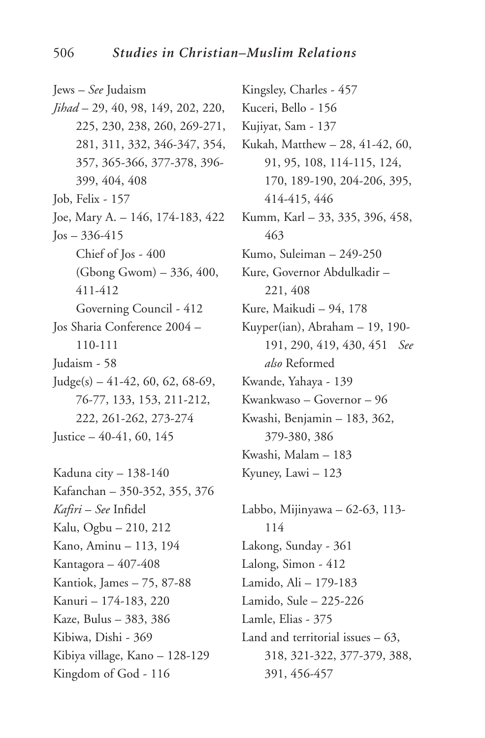Jews – *See* Judaism *Jihad* – 29, 40, 98, 149, 202, 220, 225, 230, 238, 260, 269-271, 281, 311, 332, 346-347, 354, 357, 365-366, 377-378, 396- 399, 404, 408 Job, Felix - 157 Joe, Mary A. – 146, 174-183, 422  $\log - 336 - 415$ Chief of Jos - 400 (Gbong Gwom) – 336, 400, 411-412 Governing Council - 412 Jos Sharia Conference 2004 – 110-111 Judaism - 58  $Judge(s) - 41-42, 60, 62, 68-69,$ 76-77, 133, 153, 211-212, 222, 261-262, 273-274 Justice  $-40-41, 60, 145$ Kaduna city – 138-140 Kafanchan – 350-352, 355, 376 *Kafiri* – *See* Infidel Kalu, Ogbu – 210, 212 Kano, Aminu – 113, 194 Kantagora – 407-408 Kantiok, James – 75, 87-88

Kanuri – 174-183, 220 Kaze, Bulus – 383, 386 Kibiwa, Dishi - 369 Kibiya village, Kano – 128-129

Kingdom of God - 116

Kingsley, Charles - 457 Kuceri, Bello - 156 Kujiyat, Sam - 137 Kukah, Matthew – 28, 41-42, 60, 91, 95, 108, 114-115, 124, 170, 189-190, 204-206, 395, 414-415, 446 Kumm, Karl – 33, 335, 396, 458, 463 Kumo, Suleiman – 249-250 Kure, Governor Abdulkadir – 221, 408 Kure, Maikudi – 94, 178 Kuyper(ian), Abraham – 19, 190- 191, 290, 419, 430, 451 *See also* Reformed Kwande, Yahaya - 139 Kwankwaso – Governor – 96 Kwashi, Benjamin – 183, 362, 379-380, 386 Kwashi, Malam – 183 Kyuney, Lawi – 123

Labbo, Mijinyawa – 62-63, 113- 114 Lakong, Sunday - 361 Lalong, Simon - 412 Lamido, Ali – 179-183 Lamido, Sule – 225-226 Lamle, Elias - 375 Land and territorial issues – 63, 318, 321-322, 377-379, 388, 391, 456-457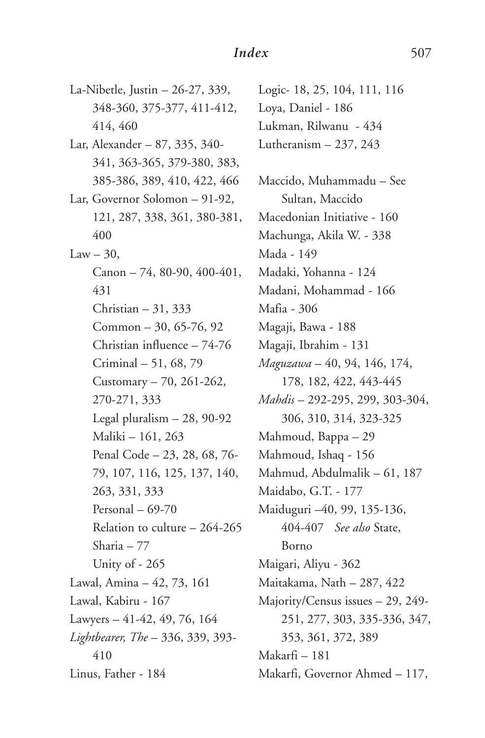La-Nibetle, Justin – 26-27, 339, 348-360, 375-377, 411-412, 414, 460 Lar, Alexander – 87, 335, 340- 341, 363-365, 379-380, 383, 385-386, 389, 410, 422, 466 Lar, Governor Solomon – 91-92, 121, 287, 338, 361, 380-381, 400  $Law - 30$ , Canon – 74, 80-90, 400-401, 431 Christian – 31, 333 Common – 30, 65-76, 92 Christian influence – 74-76 Criminal – 51, 68, 79 Customary – 70, 261-262, 270-271, 333 Legal pluralism – 28, 90-92 Maliki – 161, 263 Penal Code – 23, 28, 68, 76- 79, 107, 116, 125, 137, 140, 263, 331, 333 Personal – 69-70 Relation to culture – 264-265 Sharia – 77 Unity of - 265 Lawal, Amina – 42, 73, 161 Lawal, Kabiru - 167 Lawyers – 41-42, 49, 76, 164 *Lightbearer, The* – 336, 339, 393- 410 Linus, Father - 184

Logic- 18, 25, 104, 111, 116 Loya, Daniel - 186 Lukman, Rilwanu - 434 Lutheranism – 237, 243 Maccido, Muhammadu – See Sultan, Maccido Macedonian Initiative - 160 Machunga, Akila W. - 338 Mada - 149 Madaki, Yohanna - 124 Madani, Mohammad - 166 Mafia - 306 Magaji, Bawa - 188 Magaji, Ibrahim - 131 *Maguzawa* – 40, 94, 146, 174, 178, 182, 422, 443-445 *Mahdis* – 292-295, 299, 303-304, 306, 310, 314, 323-325 Mahmoud, Bappa – 29 Mahmoud, Ishaq - 156 Mahmud, Abdulmalik – 61, 187 Maidabo, G.T. - 177 Maiduguri –40, 99, 135-136, 404-407 *See also* State, Borno Maigari, Aliyu - 362 Maitakama, Nath – 287, 422 Majority/Census issues – 29, 249- 251, 277, 303, 335-336, 347, 353, 361, 372, 389 Makarfi – 181 Makarfi, Governor Ahmed – 117,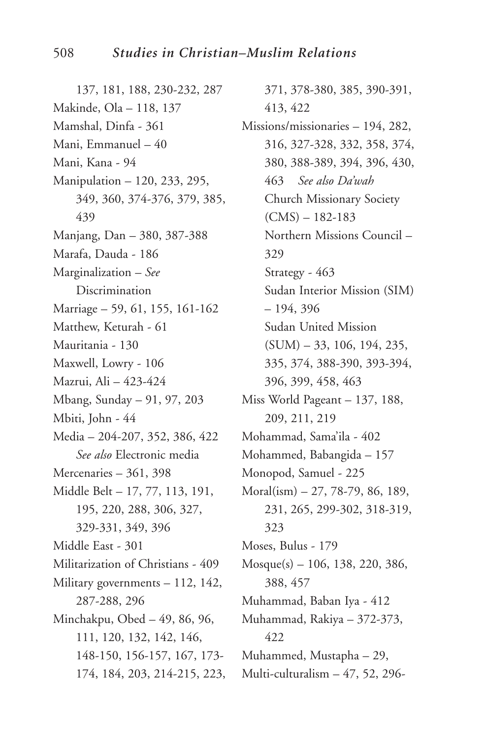137, 181, 188, 230-232, 287 Makinde, Ola – 118, 137 Mamshal, Dinfa - 361 Mani, Emmanuel – 40 Mani, Kana - 94 Manipulation – 120, 233, 295, 349, 360, 374-376, 379, 385, 439 Manjang, Dan – 380, 387-388 Marafa, Dauda - 186 Marginalization – *See* Discrimination Marriage – 59, 61, 155, 161-162 Matthew, Keturah - 61 Mauritania - 130 Maxwell, Lowry - 106 Mazrui, Ali – 423-424 Mbang, Sunday – 91, 97, 203 Mbiti, John - 44 Media – 204-207, 352, 386, 422 *See also* Electronic media Mercenaries – 361, 398 Middle Belt – 17, 77, 113, 191, 195, 220, 288, 306, 327, 329-331, 349, 396 Middle East - 301 Militarization of Christians - 409 Military governments – 112, 142, 287-288, 296 Minchakpu, Obed – 49, 86, 96, 111, 120, 132, 142, 146, 148-150, 156-157, 167, 173- 174, 184, 203, 214-215, 223,

371, 378-380, 385, 390-391, 413, 422 Missions/missionaries – 194, 282, 316, 327-328, 332, 358, 374, 380, 388-389, 394, 396, 430, 463 *See also Da'wah* Church Missionary Society (CMS) – 182-183 Northern Missions Council – 329 Strategy - 463 Sudan Interior Mission (SIM) – 194, 396 Sudan United Mission (SUM) – 33, 106, 194, 235, 335, 374, 388-390, 393-394, 396, 399, 458, 463 Miss World Pageant – 137, 188, 209, 211, 219 Mohammad, Sama'ila - 402 Mohammed, Babangida – 157 Monopod, Samuel - 225 Moral(ism) – 27, 78-79, 86, 189, 231, 265, 299-302, 318-319, 323 Moses, Bulus - 179 Mosque(s) – 106, 138, 220, 386, 388, 457 Muhammad, Baban Iya - 412 Muhammad, Rakiya – 372-373, 422 Muhammed, Mustapha – 29, Multi-culturalism – 47, 52, 296-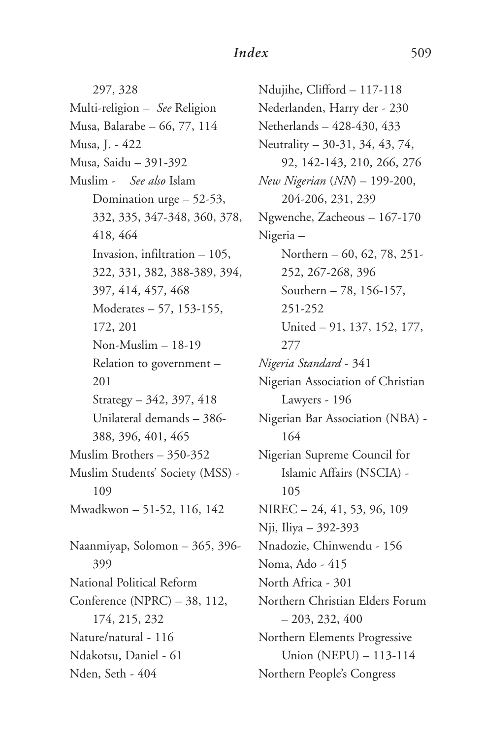297, 328 Multi-religion – *See* Religion Musa, Balarabe – 66, 77, 114 Musa, J. - 422 Musa, Saidu – 391-392 Muslim - *See also* Islam Domination urge – 52-53, 332, 335, 347-348, 360, 378, 418, 464 Invasion, infiltration – 105, 322, 331, 382, 388-389, 394, 397, 414, 457, 468 Moderates – 57, 153-155, 172, 201 Non-Muslim – 18-19 Relation to government – 201 Strategy – 342, 397, 418 Unilateral demands – 386- 388, 396, 401, 465 Muslim Brothers – 350-352 Muslim Students' Society (MSS) - 109 Mwadkwon – 51-52, 116, 142 Naanmiyap, Solomon – 365, 396- 399 National Political Reform Conference (NPRC) – 38, 112, 174, 215, 232 Nature/natural - 116 Ndakotsu, Daniel - 61 Nden, Seth - 404

Ndujihe, Clifford – 117-118 Nederlanden, Harry der - 230 Netherlands – 428-430, 433 Neutrality – 30-31, 34, 43, 74, 92, 142-143, 210, 266, 276 *New Nigerian* (*NN*) – 199-200, 204-206, 231, 239 Ngwenche, Zacheous – 167-170 Nigeria – Northern – 60, 62, 78, 251- 252, 267-268, 396 Southern – 78, 156-157, 251-252 United – 91, 137, 152, 177, 277 *Nigeria Standard* - 341 Nigerian Association of Christian Lawyers - 196 Nigerian Bar Association (NBA) - 164 Nigerian Supreme Council for Islamic Affairs (NSCIA) - 105 NIREC – 24, 41, 53, 96, 109 Nji, Iliya – 392-393 Nnadozie, Chinwendu - 156 Noma, Ado - 415 North Africa - 301 Northern Christian Elders Forum  $-203, 232, 400$ Northern Elements Progressive Union (NEPU) – 113-114 Northern People's Congress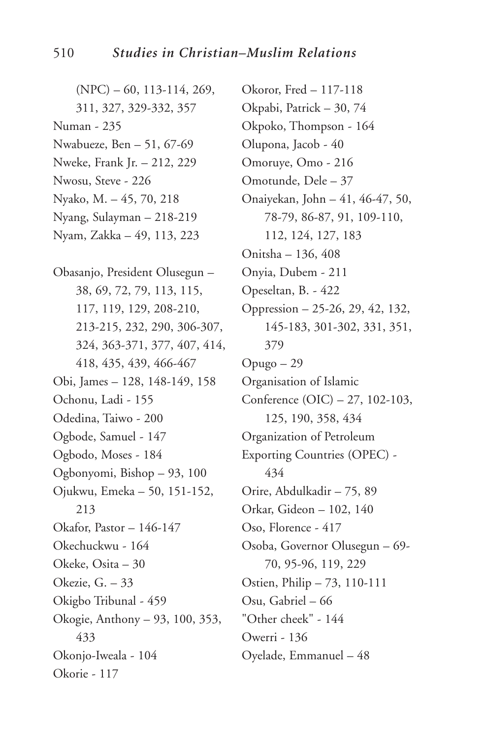(NPC) – 60, 113-114, 269, 311, 327, 329-332, 357 Numan - 235 Nwabueze, Ben – 51, 67-69 Nweke, Frank Jr. – 212, 229 Nwosu, Steve - 226 Nyako, M. – 45, 70, 218 Nyang, Sulayman – 218-219 Nyam, Zakka – 49, 113, 223

Obasanjo, President Olusegun – 38, 69, 72, 79, 113, 115, 117, 119, 129, 208-210, 213-215, 232, 290, 306-307, 324, 363-371, 377, 407, 414, 418, 435, 439, 466-467 Obi, James – 128, 148-149, 158 Ochonu, Ladi - 155 Odedina, Taiwo - 200 Ogbode, Samuel - 147 Ogbodo, Moses - 184 Ogbonyomi, Bishop – 93, 100 Ojukwu, Emeka – 50, 151-152, 213 Okafor, Pastor – 146-147 Okechuckwu - 164 Okeke, Osita – 30 Okezie, G. – 33 Okigbo Tribunal - 459 Okogie, Anthony – 93, 100, 353, 433 Okonjo-Iweala - 104 Okorie - 117

Okoror, Fred – 117-118 Okpabi, Patrick – 30, 74 Okpoko, Thompson - 164 Olupona, Jacob - 40 Omoruye, Omo - 216 Omotunde, Dele – 37 Onaiyekan, John – 41, 46-47, 50, 78-79, 86-87, 91, 109-110, 112, 124, 127, 183 Onitsha – 136, 408 Onyia, Dubem - 211 Opeseltan, B. - 422 Oppression – 25-26, 29, 42, 132, 145-183, 301-302, 331, 351, 379 Opugo – 29 Organisation of Islamic Conference (OIC) – 27, 102-103, 125, 190, 358, 434 Organization of Petroleum Exporting Countries (OPEC) - 434 Orire, Abdulkadir – 75, 89 Orkar, Gideon – 102, 140 Oso, Florence - 417 Osoba, Governor Olusegun – 69- 70, 95-96, 119, 229 Ostien, Philip – 73, 110-111 Osu, Gabriel – 66 "Other cheek" - 144 Owerri - 136 Oyelade, Emmanuel – 48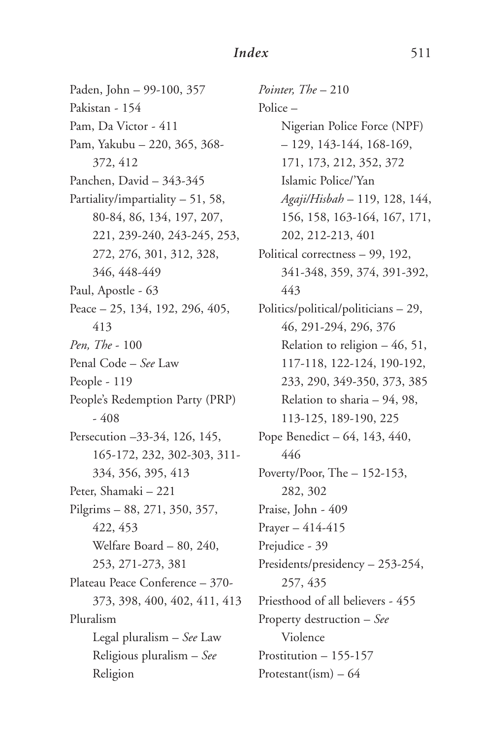Paden, John – 99-100, 357 Pakistan - 154 Pam, Da Victor - 411 Pam, Yakubu – 220, 365, 368- 372, 412 Panchen, David – 343-345 Partiality/impartiality – 51, 58, 80-84, 86, 134, 197, 207, 221, 239-240, 243-245, 253, 272, 276, 301, 312, 328, 346, 448-449 Paul, Apostle - 63 Peace – 25, 134, 192, 296, 405, 413 *Pen, The* - 100 Penal Code – *See* Law People - 119 People's Redemption Party (PRP)  $-408$ Persecution –33-34, 126, 145, 165-172, 232, 302-303, 311- 334, 356, 395, 413 Peter, Shamaki – 221 Pilgrims – 88, 271, 350, 357, 422, 453 Welfare Board – 80, 240, 253, 271-273, 381 Plateau Peace Conference – 370- 373, 398, 400, 402, 411, 413 Pluralism Legal pluralism – *See* Law Religious pluralism – *See* Religion

*Pointer, The* – 210 Police – Nigerian Police Force (NPF)  $-129, 143-144, 168-169,$ 171, 173, 212, 352, 372 Islamic Police/'Yan *Agaji/Hisbah* – 119, 128, 144, 156, 158, 163-164, 167, 171, 202, 212-213, 401 Political correctness – 99, 192, 341-348, 359, 374, 391-392, 443 Politics/political/politicians – 29, 46, 291-294, 296, 376 Relation to religion – 46, 51, 117-118, 122-124, 190-192, 233, 290, 349-350, 373, 385 Relation to sharia – 94, 98, 113-125, 189-190, 225 Pope Benedict – 64, 143, 440, 446 Poverty/Poor, The - 152-153, 282, 302 Praise, John - 409 Prayer – 414-415 Prejudice - 39 Presidents/presidency – 253-254, 257, 435 Priesthood of all believers - 455 Property destruction – *See* Violence Prostitution – 155-157 Protestant(ism)  $-64$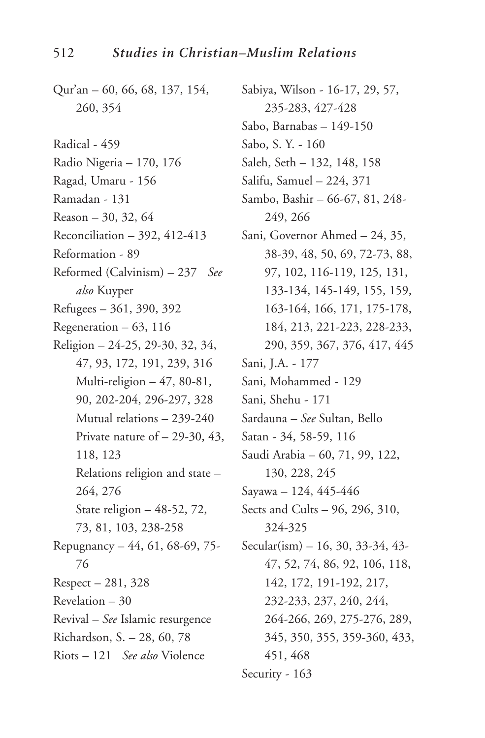- Qur'an 60, 66, 68, 137, 154, 260, 354
- Radical 459
- Radio Nigeria 170, 176
- Ragad, Umaru 156
- Ramadan 131
- Reason 30, 32, 64
- Reconciliation 392, 412-413
- Reformation 89
- Reformed (Calvinism) 237 *See also* Kuyper
- Refugees 361, 390, 392
- Regeneration 63, 116
- Religion 24-25, 29-30, 32, 34, 47, 93, 172, 191, 239, 316 Multi-religion  $-47, 80-81,$ 90, 202-204, 296-297, 328 Mutual relations – 239-240 Private nature of  $-29-30, 43,$ 118, 123 Relations religion and state – 264, 276 State religion – 48-52, 72, 73, 81, 103, 238-258 Repugnancy – 44, 61, 68-69, 75- 76 Respect – 281, 328 Revelation – 30 Revival – *See* Islamic resurgence Richardson, S. – 28, 60, 78
- Riots 121 *See also* Violence
- Sabiya, Wilson 16-17, 29, 57, 235-283, 427-428 Sabo, Barnabas – 149-150 Sabo, S. Y. - 160 Saleh, Seth – 132, 148, 158 Salifu, Samuel – 224, 371 Sambo, Bashir – 66-67, 81, 248- 249, 266 Sani, Governor Ahmed – 24, 35, 38-39, 48, 50, 69, 72-73, 88, 97, 102, 116-119, 125, 131, 133-134, 145-149, 155, 159, 163-164, 166, 171, 175-178, 184, 213, 221-223, 228-233, 290, 359, 367, 376, 417, 445 Sani, J.A. - 177 Sani, Mohammed - 129 Sani, Shehu - 171 Sardauna – *See* Sultan, Bello Satan - 34, 58-59, 116 Saudi Arabia – 60, 71, 99, 122, 130, 228, 245 Sayawa – 124, 445-446 Sects and Cults – 96, 296, 310, 324-325 Secular(ism) – 16, 30, 33-34, 43- 47, 52, 74, 86, 92, 106, 118, 142, 172, 191-192, 217, 232-233, 237, 240, 244, 264-266, 269, 275-276, 289, 345, 350, 355, 359-360, 433, 451, 468
- Security 163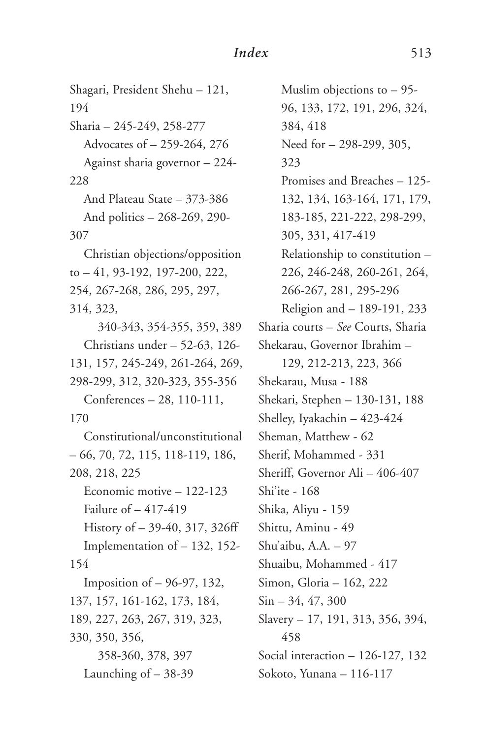Shagari, President Shehu – 121, 194 Sharia – 245-249, 258-277 Advocates of – 259-264, 276 Against sharia governor – 224- 228 And Plateau State – 373-386 And politics – 268-269, 290- 307 Christian objections/opposition to – 41, 93-192, 197-200, 222, 254, 267-268, 286, 295, 297, 314, 323, 340-343, 354-355, 359, 389 Christians under – 52-63, 126- 131, 157, 245-249, 261-264, 269, 298-299, 312, 320-323, 355-356 Conferences – 28, 110-111, 170 Constitutional/unconstitutional – 66, 70, 72, 115, 118-119, 186, 208, 218, 225 Economic motive – 122-123 Failure of – 417-419 History of – 39-40, 317, 326ff Implementation of – 132, 152- 154 Imposition of – 96-97, 132, 137, 157, 161-162, 173, 184, 189, 227, 263, 267, 319, 323, 330, 350, 356, 358-360, 378, 397 Launching of – 38-39

Muslim objections to – 95- 96, 133, 172, 191, 296, 324, 384, 418 Need for – 298-299, 305, 323 Promises and Breaches – 125- 132, 134, 163-164, 171, 179, 183-185, 221-222, 298-299, 305, 331, 417-419 Relationship to constitution – 226, 246-248, 260-261, 264, 266-267, 281, 295-296 Religion and – 189-191, 233 Sharia courts – *See* Courts, Sharia Shekarau, Governor Ibrahim – 129, 212-213, 223, 366 Shekarau, Musa - 188 Shekari, Stephen – 130-131, 188 Shelley, Iyakachin – 423-424 Sheman, Matthew - 62 Sherif, Mohammed - 331 Sheriff, Governor Ali – 406-407 Shi'ite - 168 Shika, Aliyu - 159 Shittu, Aminu - 49 Shu'aibu, A.A. – 97 Shuaibu, Mohammed - 417 Simon, Gloria – 162, 222  $Sin - 34, 47, 300$ Slavery – 17, 191, 313, 356, 394, 458 Social interaction – 126-127, 132 Sokoto, Yunana – 116-117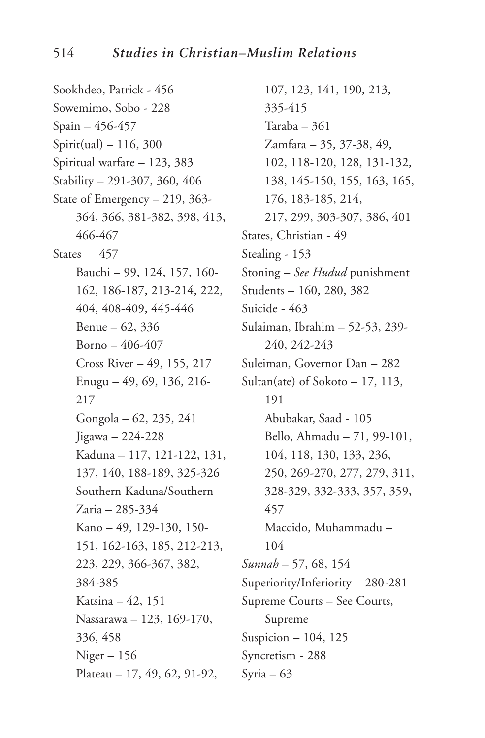Sookhdeo, Patrick - 456 Sowemimo, Sobo - 228 Spain – 456-457  $Spirit(ual) - 116, 300$ Spiritual warfare – 123, 383 Stability – 291-307, 360, 406 State of Emergency – 219, 363- 364, 366, 381-382, 398, 413, 466-467 States 457 Bauchi – 99, 124, 157, 160- 162, 186-187, 213-214, 222, 404, 408-409, 445-446 Benue – 62, 336 Borno – 406-407 Cross River – 49, 155, 217 Enugu – 49, 69, 136, 216- 217 Gongola – 62, 235, 241 Jigawa – 224-228 Kaduna – 117, 121-122, 131, 137, 140, 188-189, 325-326 Southern Kaduna/Southern Zaria – 285-334 Kano – 49, 129-130, 150- 151, 162-163, 185, 212-213, 223, 229, 366-367, 382, 384-385 Katsina – 42, 151 Nassarawa – 123, 169-170, 336, 458  $Niger - 156$ Plateau – 17, 49, 62, 91-92,

107, 123, 141, 190, 213, 335-415 Taraba – 361 Zamfara – 35, 37-38, 49, 102, 118-120, 128, 131-132, 138, 145-150, 155, 163, 165, 176, 183-185, 214, 217, 299, 303-307, 386, 401 States, Christian - 49 Stealing - 153 Stoning – *See Hudud* punishment Students – 160, 280, 382 Suicide - 463 Sulaiman, Ibrahim – 52-53, 239- 240, 242-243 Suleiman, Governor Dan – 282 Sultan(ate) of Sokoto – 17, 113, 191 Abubakar, Saad - 105 Bello, Ahmadu – 71, 99-101, 104, 118, 130, 133, 236, 250, 269-270, 277, 279, 311, 328-329, 332-333, 357, 359, 457 Maccido, Muhammadu – 104 *Sunnah* – 57, 68, 154 Superiority/Inferiority – 280-281 Supreme Courts – See Courts, Supreme Suspicion – 104, 125 Syncretism - 288 Syria – 63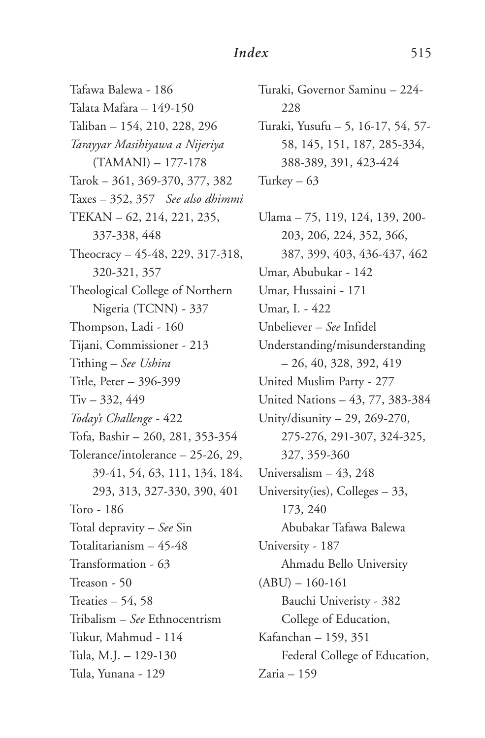Tafawa Balewa - 186 Talata Mafara – 149-150 Taliban – 154, 210, 228, 296 *Tarayyar Masihiyawa a Nijeriya* (TAMANI) – 177-178 Tarok – 361, 369-370, 377, 382 Taxes – 352, 357 *See also dhimmi* TEKAN – 62, 214, 221, 235, 337-338, 448 Theocracy – 45-48, 229, 317-318, 320-321, 357 Theological College of Northern Nigeria (TCNN) - 337 Thompson, Ladi - 160 Tijani, Commissioner - 213 Tithing – *See Ushira* Title, Peter – 396-399 Tiv – 332, 449 *Today's Challenge* - 422 Tofa, Bashir – 260, 281, 353-354 Tolerance/intolerance – 25-26, 29, 39-41, 54, 63, 111, 134, 184, 293, 313, 327-330, 390, 401 Toro - 186 Total depravity – *See* Sin Totalitarianism – 45-48 Transformation - 63 Treason - 50 Treaties – 54, 58 Tribalism – *See* Ethnocentrism Tukur, Mahmud - 114 Tula, M.J. – 129-130 Tula, Yunana - 129

Turaki, Governor Saminu – 224- 228 Turaki, Yusufu – 5, 16-17, 54, 57- 58, 145, 151, 187, 285-334, 388-389, 391, 423-424 Turkey  $-63$ Ulama – 75, 119, 124, 139, 200- 203, 206, 224, 352, 366, 387, 399, 403, 436-437, 462 Umar, Abubukar - 142 Umar, Hussaini - 171 Umar, I. - 422 Unbeliever – *See* Infidel Understanding/misunderstanding – 26, 40, 328, 392, 419 United Muslim Party - 277 United Nations – 43, 77, 383-384

Unity/disunity – 29, 269-270,

327, 359-360 Universalism – 43, 248 University(ies), Colleges – 33,

173, 240

University - 187

 $(ABU) - 160-161$ 

Kafanchan – 159, 351

Zaria – 159

275-276, 291-307, 324-325,

Abubakar Tafawa Balewa

Ahmadu Bello University

Bauchi Univeristy - 382 College of Education,

Federal College of Education,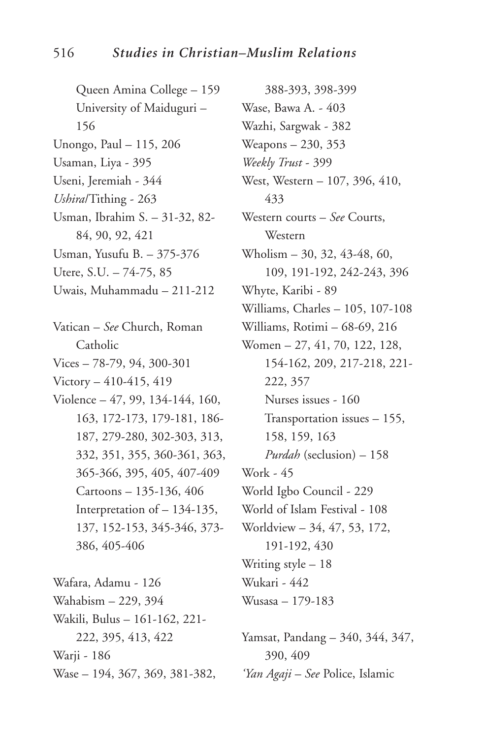Queen Amina College – 159 University of Maiduguri – 156 Unongo, Paul – 115, 206 Usaman, Liya - 395 Useni, Jeremiah - 344 *Ushira*/Tithing - 263 Usman, Ibrahim S. – 31-32, 82- 84, 90, 92, 421 Usman, Yusufu B. – 375-376 Utere, S.U. – 74-75, 85 Uwais, Muhammadu – 211-212 Vatican – *See* Church, Roman Catholic Vices – 78-79, 94, 300-301 Victory – 410-415, 419 Violence – 47, 99, 134-144, 160, 163, 172-173, 179-181, 186- 187, 279-280, 302-303, 313, 332, 351, 355, 360-361, 363, 365-366, 395, 405, 407-409 Cartoons – 135-136, 406 Interpretation of – 134-135, 137, 152-153, 345-346, 373- 386, 405-406

Wafara, Adamu - 126 Wahabism – 229, 394 Wakili, Bulus – 161-162, 221- 222, 395, 413, 422 Warji - 186 Wase – 194, 367, 369, 381-382,

388-393, 398-399 Wase, Bawa A. - 403 Wazhi, Sargwak - 382 Weapons – 230, 353 *Weekly Trust* - 399 West, Western – 107, 396, 410, 433 Western courts – *See* Courts, Western Wholism – 30, 32, 43-48, 60, 109, 191-192, 242-243, 396 Whyte, Karibi - 89 Williams, Charles – 105, 107-108 Williams, Rotimi – 68-69, 216 Women – 27, 41, 70, 122, 128, 154-162, 209, 217-218, 221- 222, 357 Nurses issues - 160 Transportation issues – 155, 158, 159, 163 *Purdah* (seclusion) – 158 Work - 45 World Igbo Council - 229 World of Islam Festival - 108 Worldview – 34, 47, 53, 172, 191-192, 430 Writing style – 18 Wukari - 442 Wusasa – 179-183

Yamsat, Pandang – 340, 344, 347, 390, 409 *'Yan Agaji* – *See* Police, Islamic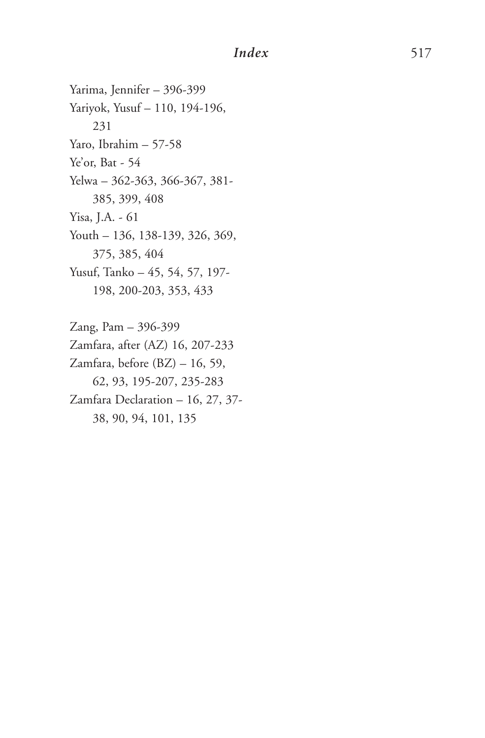Yarima, Jennifer – 396-399 Yariyok, Yusuf – 110, 194-196, 231 Yaro, Ibrahim – 57-58 Ye'or, Bat - 54 Yelwa – 362-363, 366-367, 381- 385, 399, 408 Yisa, J.A. - 61 Youth – 136, 138-139, 326, 369, 375, 385, 404 Yusuf, Tanko – 45, 54, 57, 197- 198, 200-203, 353, 433

Zang, Pam – 396-399 Zamfara, after (AZ) 16, 207-233 Zamfara, before (BZ) – 16, 59, 62, 93, 195-207, 235-283 Zamfara Declaration – 16, 27, 37- 38, 90, 94, 101, 135